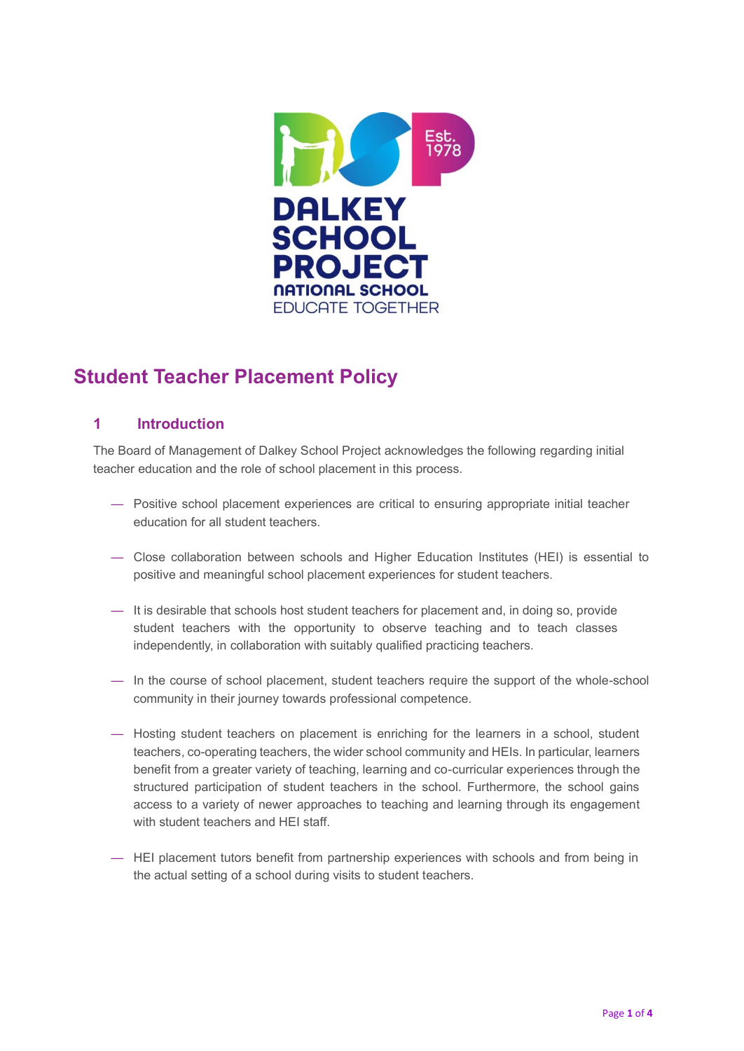

# **Student Teacher Placement Policy**

# **1 Introduction**

The Board of Management of Dalkey School Project acknowledges the following regarding initial teacher education and the role of school placement in this process.

- Positive school placement experiences are critical to ensuring appropriate initial teacher education for all student teachers.
- Close collaboration between schools and Higher Education Institutes (HEI) is essential to positive and meaningful school placement experiences for student teachers.
- It is desirable that schools host student teachers for placement and, in doing so, provide student teachers with the opportunity to observe teaching and to teach classes independently, in collaboration with suitably qualified practicing teachers.
- In the course of school placement, student teachers require the support of the whole-school community in their journey towards professional competence.
- Hosting student teachers on placement is enriching for the learners in a school, student teachers, co-operating teachers, the wider school community and HEIs. In particular, learners benefit from a greater variety of teaching, learning and co-curricular experiences through the structured participation of student teachers in the school. Furthermore, the school gains access to a variety of newer approaches to teaching and learning through its engagement with student teachers and HEI staff.
- HEI placement tutors benefit from partnership experiences with schools and from being in the actual setting of a school during visits to student teachers.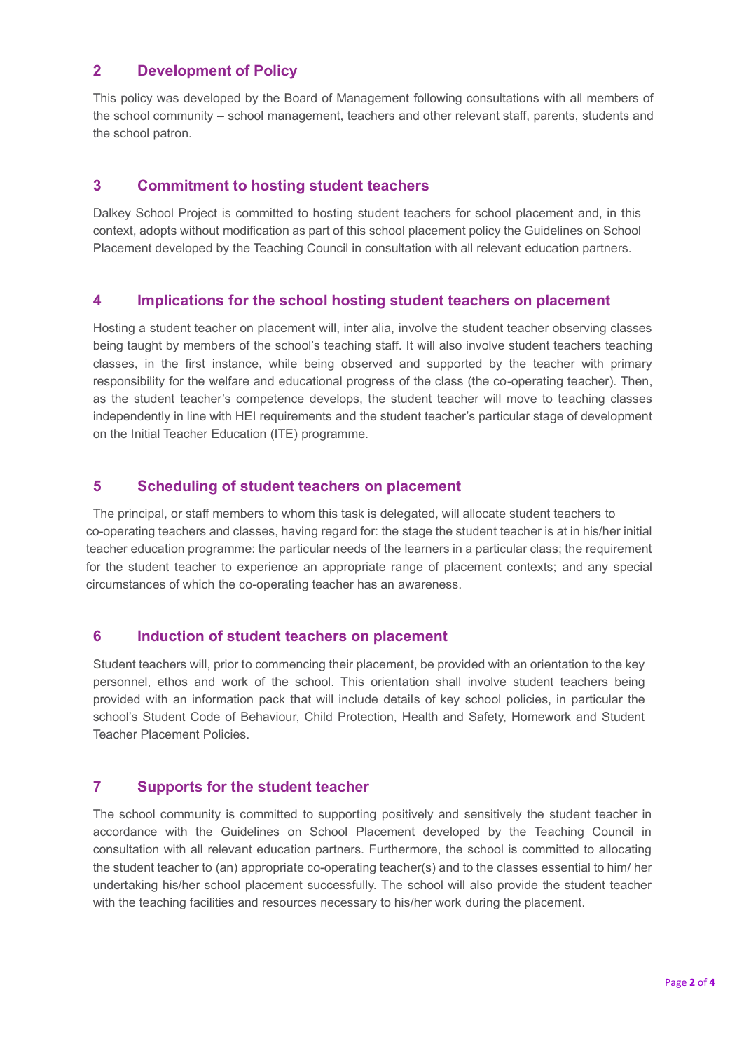# **2 Development of Policy**

This policy was developed by the Board of Management following consultations with all members of the school community – school management, teachers and other relevant staff, parents, students and the school patron.

# **3 Commitment to hosting student teachers**

Dalkey School Project is committed to hosting student teachers for school placement and, in this context, adopts without modification as part of this school placement policy the Guidelines on School Placement developed by the Teaching Council in consultation with all relevant education partners.

### **4 Implications for the school hosting student teachers on placement**

Hosting a student teacher on placement will, inter alia, involve the student teacher observing classes being taught by members of the school's teaching staff. It will also involve student teachers teaching classes, in the first instance, while being observed and supported by the teacher with primary responsibility for the welfare and educational progress of the class (the co-operating teacher). Then, as the student teacher's competence develops, the student teacher will move to teaching classes independently in line with HEI requirements and the student teacher's particular stage of development on the Initial Teacher Education (ITE) programme.

## **5 Scheduling of student teachers on placement**

The principal, or staff members to whom this task is delegated, will allocate student teachers to co-operating teachers and classes, having regard for: the stage the student teacher is at in his/her initial teacher education programme: the particular needs of the learners in a particular class; the requirement for the student teacher to experience an appropriate range of placement contexts; and any special circumstances of which the co-operating teacher has an awareness.

#### **6 Induction of student teachers on placement**

Student teachers will, prior to commencing their placement, be provided with an orientation to the key personnel, ethos and work of the school. This orientation shall involve student teachers being provided with an information pack that will include details of key school policies, in particular the school's Student Code of Behaviour, Child Protection, Health and Safety, Homework and Student Teacher Placement Policies.

## **7 Supports for the student teacher**

The school community is committed to supporting positively and sensitively the student teacher in accordance with the Guidelines on School Placement developed by the Teaching Council in consultation with all relevant education partners. Furthermore, the school is committed to allocating the student teacher to (an) appropriate co-operating teacher(s) and to the classes essential to him/ her undertaking his/her school placement successfully. The school will also provide the student teacher with the teaching facilities and resources necessary to his/her work during the placement.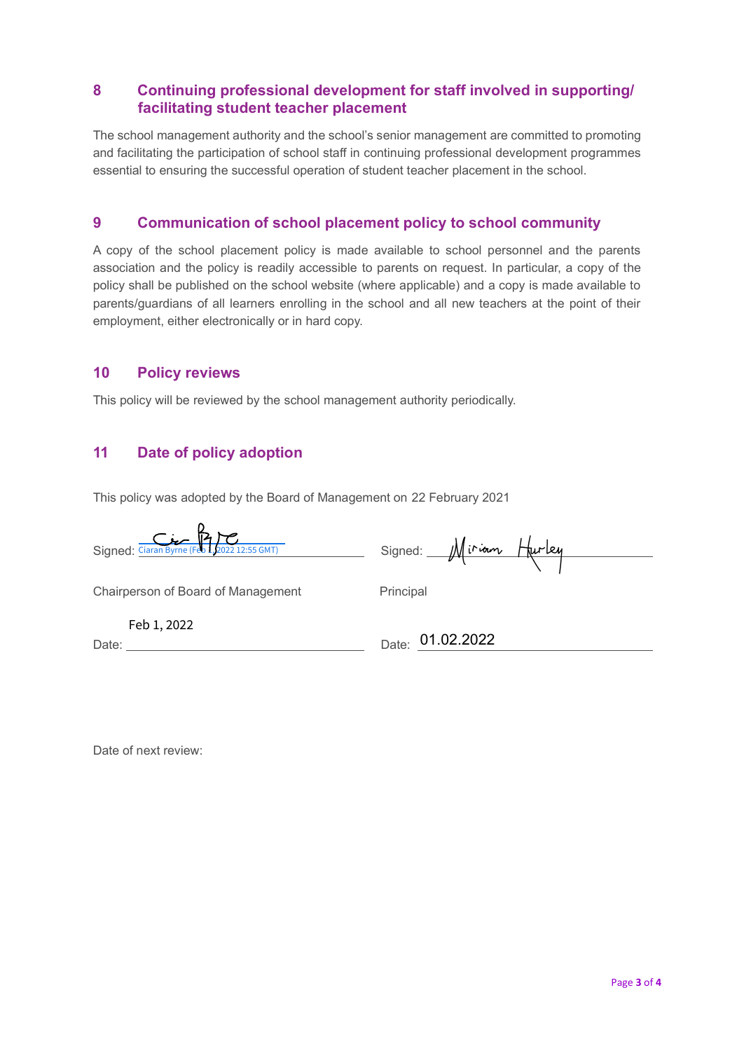# **8 Continuing professional development for staff involved in supporting/ facilitating student teacher placement**

The school management authority and the school's senior management are committed to promoting and facilitating the participation of school staff in continuing professional development programmes essential to ensuring the successful operation of student teacher placement in the school.

## **9 Communication of school placement policy to school community**

A copy of the school placement policy is made available to school personnel and the parents association and the policy is readily accessible to parents on request. In particular, a copy of the policy shall be published on the school website (where applicable) and a copy is made available to parents/guardians of all learners enrolling in the school and all new teachers at the point of their employment, either electronically or in hard copy.

#### **10 Policy reviews**

This policy will be reviewed by the school management authority periodically.

## **11 Date of policy adoption**

This policy was adopted by the Board of Management on 22 February 2021

Signed:Ciaran Byrne (Feb 1, 2022 12:55 GMT) Signed: Signed:

Chairperson of Board of Management Principal

Feb 1, 2022

Date:

Date: 01.02.2022

Date of next review: